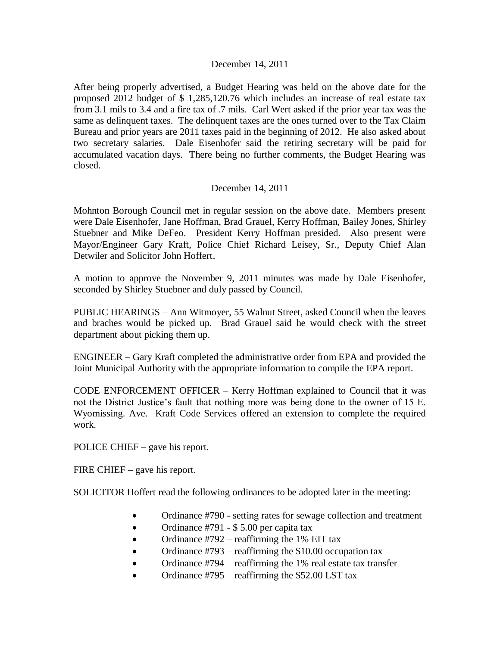## December 14, 2011

After being properly advertised, a Budget Hearing was held on the above date for the proposed 2012 budget of \$ 1,285,120.76 which includes an increase of real estate tax from 3.1 mils to 3.4 and a fire tax of .7 mils. Carl Wert asked if the prior year tax was the same as delinquent taxes. The delinquent taxes are the ones turned over to the Tax Claim Bureau and prior years are 2011 taxes paid in the beginning of 2012. He also asked about two secretary salaries. Dale Eisenhofer said the retiring secretary will be paid for accumulated vacation days. There being no further comments, the Budget Hearing was closed.

## December 14, 2011

Mohnton Borough Council met in regular session on the above date. Members present were Dale Eisenhofer, Jane Hoffman, Brad Grauel, Kerry Hoffman, Bailey Jones, Shirley Stuebner and Mike DeFeo. President Kerry Hoffman presided. Also present were Mayor/Engineer Gary Kraft, Police Chief Richard Leisey, Sr., Deputy Chief Alan Detwiler and Solicitor John Hoffert.

A motion to approve the November 9, 2011 minutes was made by Dale Eisenhofer, seconded by Shirley Stuebner and duly passed by Council.

PUBLIC HEARINGS – Ann Witmoyer, 55 Walnut Street, asked Council when the leaves and braches would be picked up. Brad Grauel said he would check with the street department about picking them up.

ENGINEER – Gary Kraft completed the administrative order from EPA and provided the Joint Municipal Authority with the appropriate information to compile the EPA report.

CODE ENFORCEMENT OFFICER – Kerry Hoffman explained to Council that it was not the District Justice's fault that nothing more was being done to the owner of 15 E. Wyomissing. Ave. Kraft Code Services offered an extension to complete the required work.

POLICE CHIEF – gave his report.

FIRE CHIEF – gave his report.

SOLICITOR Hoffert read the following ordinances to be adopted later in the meeting:

- Ordinance #790 setting rates for sewage collection and treatment
- Ordinance #791 \$5.00 per capita tax
- Ordinance  $\text{\#}792$  reaffirming the 1% EIT tax
- Ordinance  $\text{\#}793$  reaffirming the \$10.00 occupation tax
- Ordinance #794 reaffirming the 1% real estate tax transfer
- Ordinance #795 reaffirming the \$52.00 LST tax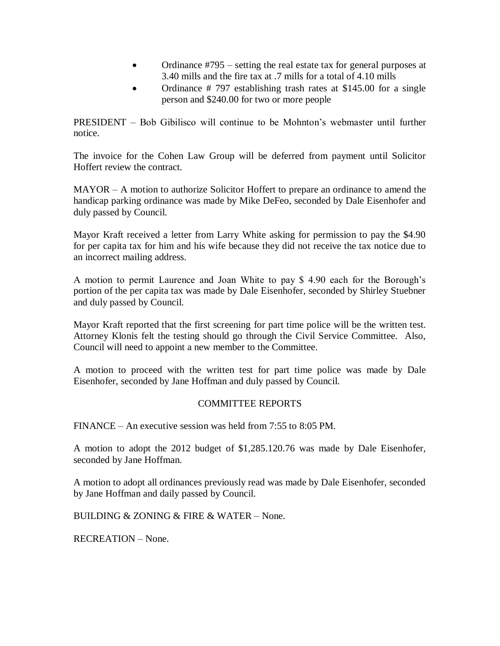- Ordinance #795 setting the real estate tax for general purposes at 3.40 mills and the fire tax at .7 mills for a total of 4.10 mills
- Ordinance # 797 establishing trash rates at \$145.00 for a single person and \$240.00 for two or more people

PRESIDENT – Bob Gibilisco will continue to be Mohnton's webmaster until further notice.

The invoice for the Cohen Law Group will be deferred from payment until Solicitor Hoffert review the contract.

MAYOR – A motion to authorize Solicitor Hoffert to prepare an ordinance to amend the handicap parking ordinance was made by Mike DeFeo, seconded by Dale Eisenhofer and duly passed by Council.

Mayor Kraft received a letter from Larry White asking for permission to pay the \$4.90 for per capita tax for him and his wife because they did not receive the tax notice due to an incorrect mailing address.

A motion to permit Laurence and Joan White to pay \$ 4.90 each for the Borough's portion of the per capita tax was made by Dale Eisenhofer, seconded by Shirley Stuebner and duly passed by Council.

Mayor Kraft reported that the first screening for part time police will be the written test. Attorney Klonis felt the testing should go through the Civil Service Committee. Also, Council will need to appoint a new member to the Committee.

A motion to proceed with the written test for part time police was made by Dale Eisenhofer, seconded by Jane Hoffman and duly passed by Council.

## COMMITTEE REPORTS

FINANCE – An executive session was held from 7:55 to 8:05 PM.

A motion to adopt the 2012 budget of \$1,285.120.76 was made by Dale Eisenhofer, seconded by Jane Hoffman.

A motion to adopt all ordinances previously read was made by Dale Eisenhofer, seconded by Jane Hoffman and daily passed by Council.

BUILDING & ZONING & FIRE & WATER – None.

RECREATION – None.